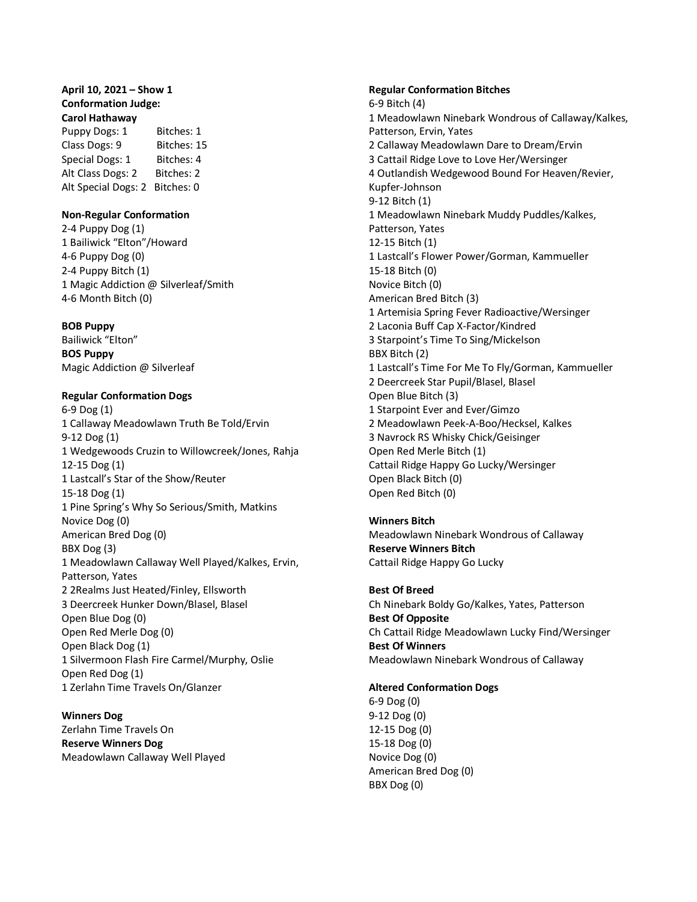# **April 10, 2021 – Show 1 Conformation Judge: Carol Hathaway**

Puppy Dogs: 1 Bitches: 1 Class Dogs: 9 Bitches: 15 Special Dogs: 1 Bitches: 4 Alt Class Dogs: 2 Bitches: 2 Alt Special Dogs: 2 Bitches: 0

# **Non-Regular Conformation**

2-4 Puppy Dog (1) 1 Bailiwick "Elton"/Howard 4-6 Puppy Dog (0) 2-4 Puppy Bitch (1) 1 Magic Addiction @ Silverleaf/Smith 4-6 Month Bitch (0)

# **BOB Puppy**

Bailiwick "Elton" **BOS Puppy** Magic Addiction @ Silverleaf

# **Regular Conformation Dogs**

6-9 Dog (1) 1 Callaway Meadowlawn Truth Be Told/Ervin 9-12 Dog (1) 1 Wedgewoods Cruzin to Willowcreek/Jones, Rahja 12-15 Dog (1) 1 Lastcall's Star of the Show/Reuter 15-18 Dog (1) 1 Pine Spring's Why So Serious/Smith, Matkins Novice Dog (0) American Bred Dog (0) BBX Dog (3) 1 Meadowlawn Callaway Well Played/Kalkes, Ervin, Patterson, Yates 2 2Realms Just Heated/Finley, Ellsworth 3 Deercreek Hunker Down/Blasel, Blasel Open Blue Dog (0) Open Red Merle Dog (0) Open Black Dog (1) 1 Silvermoon Flash Fire Carmel/Murphy, Oslie Open Red Dog (1) 1 Zerlahn Time Travels On/Glanzer

**Winners Dog** Zerlahn Time Travels On **Reserve Winners Dog** Meadowlawn Callaway Well Played

#### **Regular Conformation Bitches**

6-9 Bitch (4) 1 Meadowlawn Ninebark Wondrous of Callaway/Kalkes, Patterson, Ervin, Yates 2 Callaway Meadowlawn Dare to Dream/Ervin 3 Cattail Ridge Love to Love Her/Wersinger 4 Outlandish Wedgewood Bound For Heaven/Revier, Kupfer-Johnson 9-12 Bitch (1) 1 Meadowlawn Ninebark Muddy Puddles/Kalkes, Patterson, Yates 12-15 Bitch (1) 1 Lastcall's Flower Power/Gorman, Kammueller 15-18 Bitch (0) Novice Bitch (0) American Bred Bitch (3) 1 Artemisia Spring Fever Radioactive/Wersinger 2 Laconia Buff Cap X-Factor/Kindred 3 Starpoint's Time To Sing/Mickelson BBX Bitch (2) 1 Lastcall's Time For Me To Fly/Gorman, Kammueller 2 Deercreek Star Pupil/Blasel, Blasel Open Blue Bitch (3) 1 Starpoint Ever and Ever/Gimzo 2 Meadowlawn Peek-A-Boo/Hecksel, Kalkes 3 Navrock RS Whisky Chick/Geisinger Open Red Merle Bitch (1) Cattail Ridge Happy Go Lucky/Wersinger Open Black Bitch (0) Open Red Bitch (0)

# **Winners Bitch**

Meadowlawn Ninebark Wondrous of Callaway **Reserve Winners Bitch** Cattail Ridge Happy Go Lucky

# **Best Of Breed**

Ch Ninebark Boldy Go/Kalkes, Yates, Patterson **Best Of Opposite** Ch Cattail Ridge Meadowlawn Lucky Find/Wersinger **Best Of Winners** Meadowlawn Ninebark Wondrous of Callaway

## **Altered Conformation Dogs**

6-9 Dog (0) 9-12 Dog (0) 12-15 Dog (0) 15-18 Dog (0) Novice Dog (0) American Bred Dog (0) BBX Dog (0)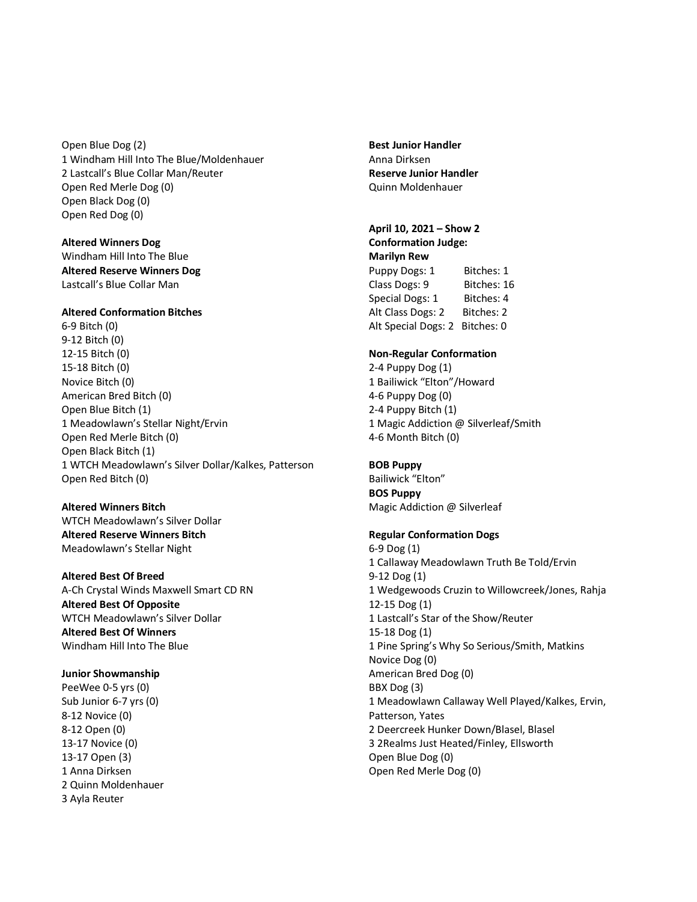Open Blue Dog (2) 1 Windham Hill Into The Blue/Moldenhauer 2 Lastcall's Blue Collar Man/Reuter Open Red Merle Dog (0) Open Black Dog (0) Open Red Dog (0)

**Altered Winners Dog** Windham Hill Into The Blue **Altered Reserve Winners Dog** Lastcall's Blue Collar Man

## **Altered Conformation Bitches**

6-9 Bitch (0) 9-12 Bitch (0) 12-15 Bitch (0) 15-18 Bitch (0) Novice Bitch (0) American Bred Bitch (0) Open Blue Bitch (1) 1 Meadowlawn's Stellar Night/Ervin Open Red Merle Bitch (0) Open Black Bitch (1) 1 WTCH Meadowlawn's Silver Dollar/Kalkes, Patterson Open Red Bitch (0)

**Altered Winners Bitch** WTCH Meadowlawn's Silver Dollar **Altered Reserve Winners Bitch** Meadowlawn's Stellar Night

**Altered Best Of Breed** A-Ch Crystal Winds Maxwell Smart CD RN **Altered Best Of Opposite** WTCH Meadowlawn's Silver Dollar **Altered Best Of Winners** Windham Hill Into The Blue

**Junior Showmanship** PeeWee 0-5 yrs (0) Sub Junior 6-7 yrs (0) 8-12 Novice (0) 8-12 Open (0) 13-17 Novice (0) 13-17 Open (3) 1 Anna Dirksen 2 Quinn Moldenhauer 3 Ayla Reuter

**Best Junior Handler** Anna Dirksen **Reserve Junior Handler** Quinn Moldenhauer

# **April 10, 2021 – Show 2 Conformation Judge:**

**Marilyn Rew** Puppy Dogs: 1 Bitches: 1 Class Dogs: 9 Bitches: 16 Special Dogs: 1 Bitches: 4 Alt Class Dogs: 2 Bitches: 2 Alt Special Dogs: 2 Bitches: 0

## **Non-Regular Conformation**

2-4 Puppy Dog (1) 1 Bailiwick "Elton"/Howard 4-6 Puppy Dog (0) 2-4 Puppy Bitch (1) 1 Magic Addiction @ Silverleaf/Smith 4-6 Month Bitch (0)

# **BOB Puppy**

Bailiwick "Elton" **BOS Puppy** Magic Addiction @ Silverleaf

## **Regular Conformation Dogs**

6-9 Dog (1) 1 Callaway Meadowlawn Truth Be Told/Ervin 9-12 Dog (1) 1 Wedgewoods Cruzin to Willowcreek/Jones, Rahja 12-15 Dog (1) 1 Lastcall's Star of the Show/Reuter 15-18 Dog (1) 1 Pine Spring's Why So Serious/Smith, Matkins Novice Dog (0) American Bred Dog (0) BBX Dog (3) 1 Meadowlawn Callaway Well Played/Kalkes, Ervin, Patterson, Yates 2 Deercreek Hunker Down/Blasel, Blasel 3 2Realms Just Heated/Finley, Ellsworth Open Blue Dog (0) Open Red Merle Dog (0)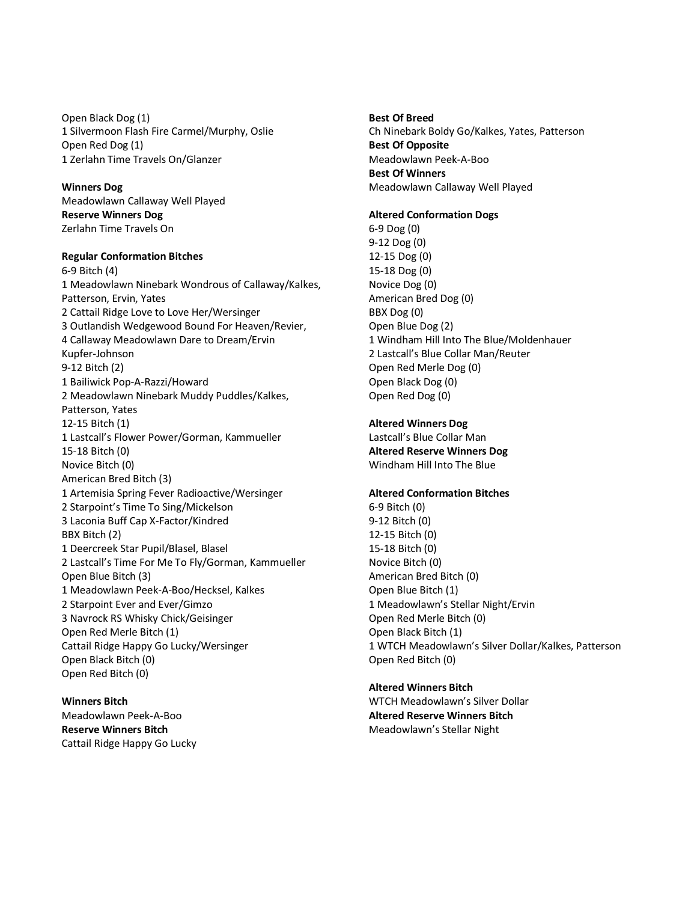Open Black Dog (1) 1 Silvermoon Flash Fire Carmel/Murphy, Oslie Open Red Dog (1) 1 Zerlahn Time Travels On/Glanzer

**Winners Dog** Meadowlawn Callaway Well Played **Reserve Winners Dog** Zerlahn Time Travels On

# **Regular Conformation Bitches**

6-9 Bitch (4) 1 Meadowlawn Ninebark Wondrous of Callaway/Kalkes, Patterson, Ervin, Yates 2 Cattail Ridge Love to Love Her/Wersinger 3 Outlandish Wedgewood Bound For Heaven/Revier, 4 Callaway Meadowlawn Dare to Dream/Ervin Kupfer-Johnson 9-12 Bitch (2) 1 Bailiwick Pop-A-Razzi/Howard 2 Meadowlawn Ninebark Muddy Puddles/Kalkes, Patterson, Yates 12-15 Bitch (1) 1 Lastcall's Flower Power/Gorman, Kammueller 15-18 Bitch (0) Novice Bitch (0) American Bred Bitch (3) 1 Artemisia Spring Fever Radioactive/Wersinger 2 Starpoint's Time To Sing/Mickelson 3 Laconia Buff Cap X-Factor/Kindred BBX Bitch (2) 1 Deercreek Star Pupil/Blasel, Blasel 2 Lastcall's Time For Me To Fly/Gorman, Kammueller Open Blue Bitch (3) 1 Meadowlawn Peek-A-Boo/Hecksel, Kalkes 2 Starpoint Ever and Ever/Gimzo 3 Navrock RS Whisky Chick/Geisinger Open Red Merle Bitch (1) Cattail Ridge Happy Go Lucky/Wersinger Open Black Bitch (0) Open Red Bitch (0)

**Winners Bitch**  Meadowlawn Peek-A-Boo **Reserve Winners Bitch** Cattail Ridge Happy Go Lucky **Best Of Breed** Ch Ninebark Boldy Go/Kalkes, Yates, Patterson **Best Of Opposite** Meadowlawn Peek-A-Boo **Best Of Winners** Meadowlawn Callaway Well Played

## **Altered Conformation Dogs**

6-9 Dog (0) 9-12 Dog (0) 12-15 Dog (0) 15-18 Dog (0) Novice Dog (0) American Bred Dog (0) BBX Dog (0) Open Blue Dog (2) 1 Windham Hill Into The Blue/Moldenhauer 2 Lastcall's Blue Collar Man/Reuter Open Red Merle Dog (0) Open Black Dog (0) Open Red Dog (0)

#### **Altered Winners Dog**

Lastcall's Blue Collar Man **Altered Reserve Winners Dog** Windham Hill Into The Blue

## **Altered Conformation Bitches**

6-9 Bitch (0) 9-12 Bitch (0) 12-15 Bitch (0) 15-18 Bitch (0) Novice Bitch (0) American Bred Bitch (0) Open Blue Bitch (1) 1 Meadowlawn's Stellar Night/Ervin Open Red Merle Bitch (0) Open Black Bitch (1) 1 WTCH Meadowlawn's Silver Dollar/Kalkes, Patterson Open Red Bitch (0)

# **Altered Winners Bitch**

WTCH Meadowlawn's Silver Dollar **Altered Reserve Winners Bitch** Meadowlawn's Stellar Night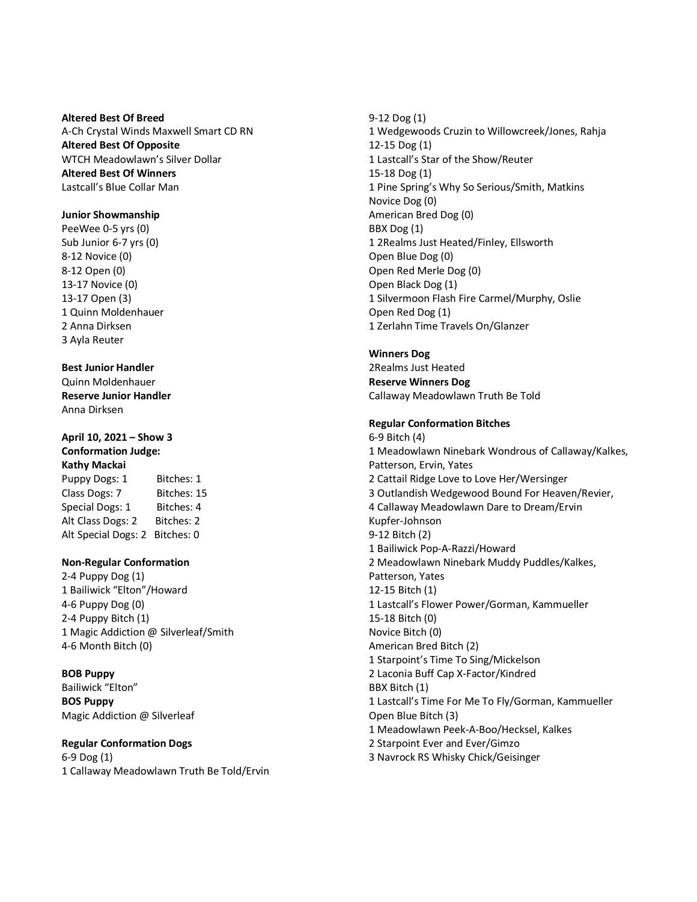**Altered Best Of Breed** A-Ch Crystal Winds Maxwell Smart CD RN **Altered Best Of Opposite** WTCH Meadowlawn's Silver Dollar **Altered Best Of Winners** Lastcall's Blue Collar Man

## **Junior Showmanship**

PeeWee 0-5 yrs (0) Sub Junior 6-7 yrs (0) 8-12 Novice (0) 8-12 Open (0) 13-17 Novice (0) 13-17 Open (3) 1 Quinn Moldenhauer 2 Anna Dirksen 3 Ayla Reuter

# **Best Junior Handler**

Quinn Moldenhauer **Reserve Junior Handler** Anna Dirksen

# **April 10, 2021 – Show 3 Conformation Judge:**

**Kathy Mackai** Puppy Dogs: 1 Bitches: 1 Class Dogs: 7 Bitches: 15 Special Dogs: 1 Bitches: 4 Alt Class Dogs: 2 Bitches: 2 Alt Special Dogs: 2 Bitches: 0

# **Non-Regular Conformation**

2-4 Puppy Dog (1) 1 Bailiwick "Elton"/Howard 4-6 Puppy Dog (0) 2-4 Puppy Bitch (1) 1 Magic Addiction @ Silverleaf/Smith 4-6 Month Bitch (0)

## **BOB Puppy**

Bailiwick "Elton" **BOS Puppy** Magic Addiction @ Silverleaf

# **Regular Conformation Dogs**

6-9 Dog (1) 1 Callaway Meadowlawn Truth Be Told/Ervin 9-12 Dog (1) 1 Wedgewoods Cruzin to Willowcreek/Jones, Rahja 12-15 Dog (1) 1 Lastcall's Star of the Show/Reuter 15-18 Dog (1) 1 Pine Spring's Why So Serious/Smith, Matkins Novice Dog (0) American Bred Dog (0) BBX Dog (1) 1 2Realms Just Heated/Finley, Ellsworth Open Blue Dog (0) Open Red Merle Dog (0) Open Black Dog (1) 1 Silvermoon Flash Fire Carmel/Murphy, Oslie Open Red Dog (1) 1 Zerlahn Time Travels On/Glanzer

# **Winners Dog**

2Realms Just Heated **Reserve Winners Dog** Callaway Meadowlawn Truth Be Told

## **Regular Conformation Bitches**

6-9 Bitch (4) 1 Meadowlawn Ninebark Wondrous of Callaway/Kalkes, Patterson, Ervin, Yates 2 Cattail Ridge Love to Love Her/Wersinger 3 Outlandish Wedgewood Bound For Heaven/Revier, 4 Callaway Meadowlawn Dare to Dream/Ervin Kupfer-Johnson 9-12 Bitch (2) 1 Bailiwick Pop-A-Razzi/Howard 2 Meadowlawn Ninebark Muddy Puddles/Kalkes, Patterson, Yates 12-15 Bitch (1) 1 Lastcall's Flower Power/Gorman, Kammueller 15-18 Bitch (0) Novice Bitch (0) American Bred Bitch (2) 1 Starpoint's Time To Sing/Mickelson 2 Laconia Buff Cap X-Factor/Kindred BBX Bitch (1) 1 Lastcall's Time For Me To Fly/Gorman, Kammueller Open Blue Bitch (3) 1 Meadowlawn Peek-A-Boo/Hecksel, Kalkes 2 Starpoint Ever and Ever/Gimzo 3 Navrock RS Whisky Chick/Geisinger